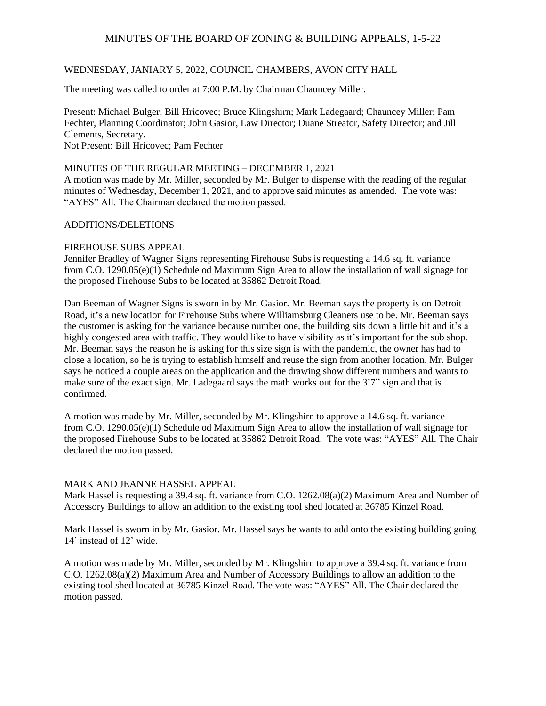### WEDNESDAY, JANIARY 5, 2022, COUNCIL CHAMBERS, AVON CITY HALL

The meeting was called to order at 7:00 P.M. by Chairman Chauncey Miller.

Present: Michael Bulger; Bill Hricovec; Bruce Klingshirn; Mark Ladegaard; Chauncey Miller; Pam Fechter, Planning Coordinator; John Gasior, Law Director; Duane Streator, Safety Director; and Jill Clements, Secretary. Not Present: Bill Hricovec; Pam Fechter

# MINUTES OF THE REGULAR MEETING – DECEMBER 1, 2021

A motion was made by Mr. Miller, seconded by Mr. Bulger to dispense with the reading of the regular minutes of Wednesday, December 1, 2021, and to approve said minutes as amended. The vote was: "AYES" All. The Chairman declared the motion passed.

### ADDITIONS/DELETIONS

### FIREHOUSE SUBS APPEAL

Jennifer Bradley of Wagner Signs representing Firehouse Subs is requesting a 14.6 sq. ft. variance from C.O. 1290.05(e)(1) Schedule od Maximum Sign Area to allow the installation of wall signage for the proposed Firehouse Subs to be located at 35862 Detroit Road.

Dan Beeman of Wagner Signs is sworn in by Mr. Gasior. Mr. Beeman says the property is on Detroit Road, it's a new location for Firehouse Subs where Williamsburg Cleaners use to be. Mr. Beeman says the customer is asking for the variance because number one, the building sits down a little bit and it's a highly congested area with traffic. They would like to have visibility as it's important for the sub shop. Mr. Beeman says the reason he is asking for this size sign is with the pandemic, the owner has had to close a location, so he is trying to establish himself and reuse the sign from another location. Mr. Bulger says he noticed a couple areas on the application and the drawing show different numbers and wants to make sure of the exact sign. Mr. Ladegaard says the math works out for the 3'7" sign and that is confirmed.

A motion was made by Mr. Miller, seconded by Mr. Klingshirn to approve a 14.6 sq. ft. variance from C.O. 1290.05(e)(1) Schedule od Maximum Sign Area to allow the installation of wall signage for the proposed Firehouse Subs to be located at 35862 Detroit Road. The vote was: "AYES" All. The Chair declared the motion passed.

#### MARK AND JEANNE HASSEL APPEAL

Mark Hassel is requesting a 39.4 sq. ft. variance from C.O. 1262.08(a)(2) Maximum Area and Number of Accessory Buildings to allow an addition to the existing tool shed located at 36785 Kinzel Road.

Mark Hassel is sworn in by Mr. Gasior. Mr. Hassel says he wants to add onto the existing building going 14' instead of 12' wide.

A motion was made by Mr. Miller, seconded by Mr. Klingshirn to approve a 39.4 sq. ft. variance from C.O. 1262.08(a)(2) Maximum Area and Number of Accessory Buildings to allow an addition to the existing tool shed located at 36785 Kinzel Road. The vote was: "AYES" All. The Chair declared the motion passed.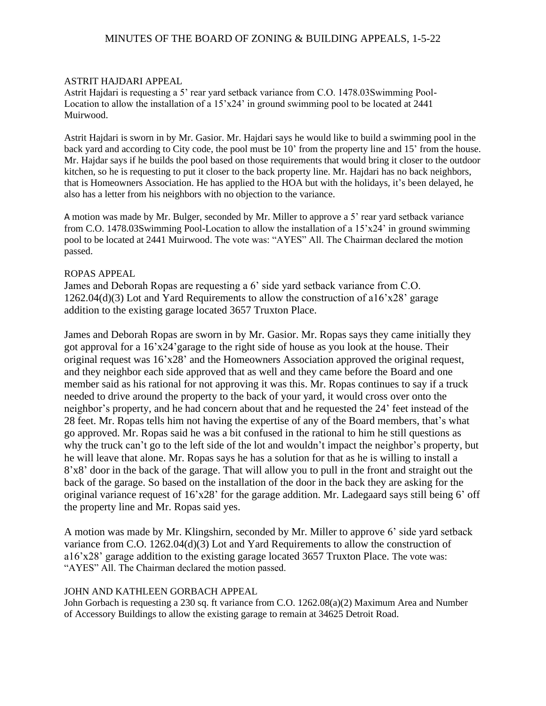### ASTRIT HAJDARI APPEAL

Astrit Hajdari is requesting a 5' rear yard setback variance from C.O. 1478.03Swimming Pool-Location to allow the installation of a  $15'x24'$  in ground swimming pool to be located at  $2441$ Muirwood.

Astrit Hajdari is sworn in by Mr. Gasior. Mr. Hajdari says he would like to build a swimming pool in the back yard and according to City code, the pool must be 10' from the property line and 15' from the house. Mr. Hajdar says if he builds the pool based on those requirements that would bring it closer to the outdoor kitchen, so he is requesting to put it closer to the back property line. Mr. Hajdari has no back neighbors, that is Homeowners Association. He has applied to the HOA but with the holidays, it's been delayed, he also has a letter from his neighbors with no objection to the variance.

A motion was made by Mr. Bulger, seconded by Mr. Miller to approve a 5' rear yard setback variance from C.O. 1478.03Swimming Pool-Location to allow the installation of a 15'x24' in ground swimming pool to be located at 2441 Muirwood. The vote was: "AYES" All. The Chairman declared the motion passed.

### ROPAS APPEAL

James and Deborah Ropas are requesting a 6' side yard setback variance from C.O. 1262.04(d)(3) Lot and Yard Requirements to allow the construction of a16'x28' garage addition to the existing garage located 3657 Truxton Place.

James and Deborah Ropas are sworn in by Mr. Gasior. Mr. Ropas says they came initially they got approval for a 16'x24'garage to the right side of house as you look at the house. Their original request was 16'x28' and the Homeowners Association approved the original request, and they neighbor each side approved that as well and they came before the Board and one member said as his rational for not approving it was this. Mr. Ropas continues to say if a truck needed to drive around the property to the back of your yard, it would cross over onto the neighbor's property, and he had concern about that and he requested the 24' feet instead of the 28 feet. Mr. Ropas tells him not having the expertise of any of the Board members, that's what go approved. Mr. Ropas said he was a bit confused in the rational to him he still questions as why the truck can't go to the left side of the lot and wouldn't impact the neighbor's property, but he will leave that alone. Mr. Ropas says he has a solution for that as he is willing to install a 8'x8' door in the back of the garage. That will allow you to pull in the front and straight out the back of the garage. So based on the installation of the door in the back they are asking for the original variance request of 16'x28' for the garage addition. Mr. Ladegaard says still being 6' off the property line and Mr. Ropas said yes.

A motion was made by Mr. Klingshirn, seconded by Mr. Miller to approve 6' side yard setback variance from C.O. 1262.04(d)(3) Lot and Yard Requirements to allow the construction of a16'x28' garage addition to the existing garage located 3657 Truxton Place. The vote was: "AYES" All. The Chairman declared the motion passed.

### JOHN AND KATHLEEN GORBACH APPEAL

John Gorbach is requesting a 230 sq. ft variance from C.O. 1262.08(a)(2) Maximum Area and Number of Accessory Buildings to allow the existing garage to remain at 34625 Detroit Road.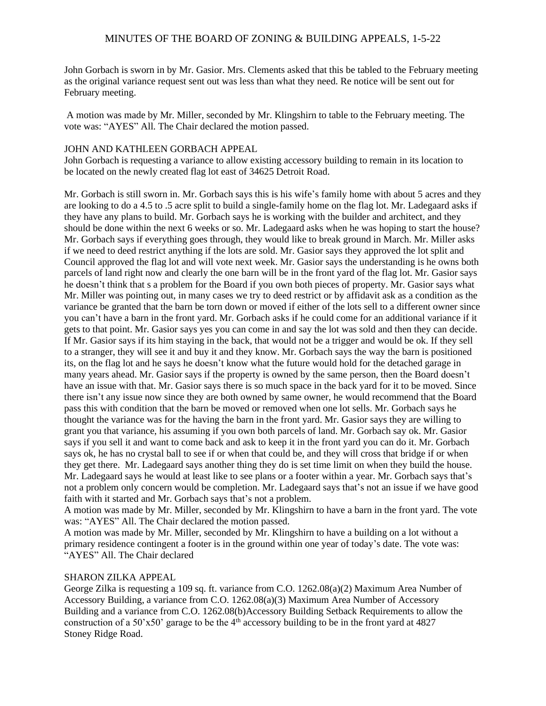John Gorbach is sworn in by Mr. Gasior. Mrs. Clements asked that this be tabled to the February meeting as the original variance request sent out was less than what they need. Re notice will be sent out for February meeting.

A motion was made by Mr. Miller, seconded by Mr. Klingshirn to table to the February meeting. The vote was: "AYES" All. The Chair declared the motion passed.

### JOHN AND KATHLEEN GORBACH APPEAL

John Gorbach is requesting a variance to allow existing accessory building to remain in its location to be located on the newly created flag lot east of 34625 Detroit Road.

Mr. Gorbach is still sworn in. Mr. Gorbach says this is his wife's family home with about 5 acres and they are looking to do a 4.5 to .5 acre split to build a single-family home on the flag lot. Mr. Ladegaard asks if they have any plans to build. Mr. Gorbach says he is working with the builder and architect, and they should be done within the next 6 weeks or so. Mr. Ladegaard asks when he was hoping to start the house? Mr. Gorbach says if everything goes through, they would like to break ground in March. Mr. Miller asks if we need to deed restrict anything if the lots are sold. Mr. Gasior says they approved the lot split and Council approved the flag lot and will vote next week. Mr. Gasior says the understanding is he owns both parcels of land right now and clearly the one barn will be in the front yard of the flag lot. Mr. Gasior says he doesn't think that s a problem for the Board if you own both pieces of property. Mr. Gasior says what Mr. Miller was pointing out, in many cases we try to deed restrict or by affidavit ask as a condition as the variance be granted that the barn be torn down or moved if either of the lots sell to a different owner since you can't have a barn in the front yard. Mr. Gorbach asks if he could come for an additional variance if it gets to that point. Mr. Gasior says yes you can come in and say the lot was sold and then they can decide. If Mr. Gasior says if its him staying in the back, that would not be a trigger and would be ok. If they sell to a stranger, they will see it and buy it and they know. Mr. Gorbach says the way the barn is positioned its, on the flag lot and he says he doesn't know what the future would hold for the detached garage in many years ahead. Mr. Gasior says if the property is owned by the same person, then the Board doesn't have an issue with that. Mr. Gasior says there is so much space in the back yard for it to be moved. Since there isn't any issue now since they are both owned by same owner, he would recommend that the Board pass this with condition that the barn be moved or removed when one lot sells. Mr. Gorbach says he thought the variance was for the having the barn in the front yard. Mr. Gasior says they are willing to grant you that variance, his assuming if you own both parcels of land. Mr. Gorbach say ok. Mr. Gasior says if you sell it and want to come back and ask to keep it in the front yard you can do it. Mr. Gorbach says ok, he has no crystal ball to see if or when that could be, and they will cross that bridge if or when they get there. Mr. Ladegaard says another thing they do is set time limit on when they build the house. Mr. Ladegaard says he would at least like to see plans or a footer within a year. Mr. Gorbach says that's not a problem only concern would be completion. Mr. Ladegaard says that's not an issue if we have good faith with it started and Mr. Gorbach says that's not a problem.

A motion was made by Mr. Miller, seconded by Mr. Klingshirn to have a barn in the front yard. The vote was: "AYES" All. The Chair declared the motion passed.

A motion was made by Mr. Miller, seconded by Mr. Klingshirn to have a building on a lot without a primary residence contingent a footer is in the ground within one year of today's date. The vote was: "AYES" All. The Chair declared

#### SHARON ZILKA APPEAL

George Zilka is requesting a 109 sq. ft. variance from C.O. 1262.08(a)(2) Maximum Area Number of Accessory Building, a variance from C.O. 1262.08(a)(3) Maximum Area Number of Accessory Building and a variance from C.O. 1262.08(b)Accessory Building Setback Requirements to allow the construction of a 50'x50' garage to be the  $4<sup>th</sup>$  accessory building to be in the front yard at 4827 Stoney Ridge Road.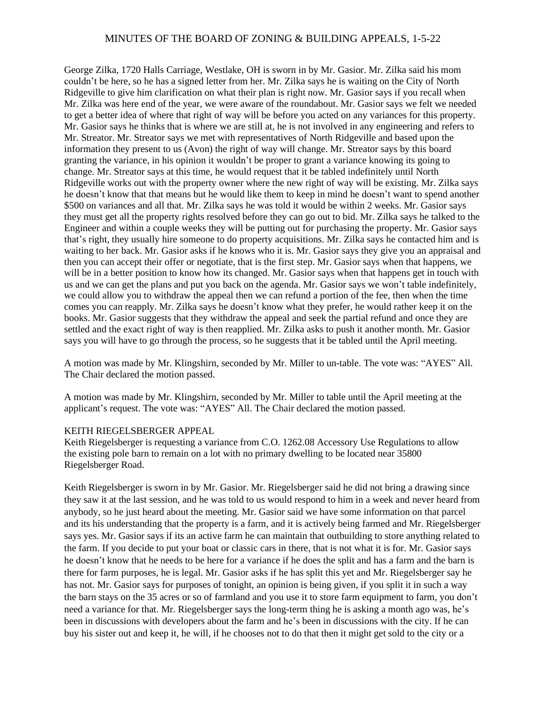George Zilka, 1720 Halls Carriage, Westlake, OH is sworn in by Mr. Gasior. Mr. Zilka said his mom couldn't be here, so he has a signed letter from her. Mr. Zilka says he is waiting on the City of North Ridgeville to give him clarification on what their plan is right now. Mr. Gasior says if you recall when Mr. Zilka was here end of the year, we were aware of the roundabout. Mr. Gasior says we felt we needed to get a better idea of where that right of way will be before you acted on any variances for this property. Mr. Gasior says he thinks that is where we are still at, he is not involved in any engineering and refers to Mr. Streator. Mr. Streator says we met with representatives of North Ridgeville and based upon the information they present to us (Avon) the right of way will change. Mr. Streator says by this board granting the variance, in his opinion it wouldn't be proper to grant a variance knowing its going to change. Mr. Streator says at this time, he would request that it be tabled indefinitely until North Ridgeville works out with the property owner where the new right of way will be existing. Mr. Zilka says he doesn't know that that means but he would like them to keep in mind he doesn't want to spend another \$500 on variances and all that. Mr. Zilka says he was told it would be within 2 weeks. Mr. Gasior says they must get all the property rights resolved before they can go out to bid. Mr. Zilka says he talked to the Engineer and within a couple weeks they will be putting out for purchasing the property. Mr. Gasior says that's right, they usually hire someone to do property acquisitions. Mr. Zilka says he contacted him and is waiting to her back. Mr. Gasior asks if he knows who it is. Mr. Gasior says they give you an appraisal and then you can accept their offer or negotiate, that is the first step. Mr. Gasior says when that happens, we will be in a better position to know how its changed. Mr. Gasior says when that happens get in touch with us and we can get the plans and put you back on the agenda. Mr. Gasior says we won't table indefinitely, we could allow you to withdraw the appeal then we can refund a portion of the fee, then when the time comes you can reapply. Mr. Zilka says he doesn't know what they prefer, he would rather keep it on the books. Mr. Gasior suggests that they withdraw the appeal and seek the partial refund and once they are settled and the exact right of way is then reapplied. Mr. Zilka asks to push it another month. Mr. Gasior says you will have to go through the process, so he suggests that it be tabled until the April meeting.

A motion was made by Mr. Klingshirn, seconded by Mr. Miller to un-table. The vote was: "AYES" All. The Chair declared the motion passed.

A motion was made by Mr. Klingshirn, seconded by Mr. Miller to table until the April meeting at the applicant's request. The vote was: "AYES" All. The Chair declared the motion passed.

#### KEITH RIEGELSBERGER APPEAL

Keith Riegelsberger is requesting a variance from C.O. 1262.08 Accessory Use Regulations to allow the existing pole barn to remain on a lot with no primary dwelling to be located near 35800 Riegelsberger Road.

Keith Riegelsberger is sworn in by Mr. Gasior. Mr. Riegelsberger said he did not bring a drawing since they saw it at the last session, and he was told to us would respond to him in a week and never heard from anybody, so he just heard about the meeting. Mr. Gasior said we have some information on that parcel and its his understanding that the property is a farm, and it is actively being farmed and Mr. Riegelsberger says yes. Mr. Gasior says if its an active farm he can maintain that outbuilding to store anything related to the farm. If you decide to put your boat or classic cars in there, that is not what it is for. Mr. Gasior says he doesn't know that he needs to be here for a variance if he does the split and has a farm and the barn is there for farm purposes, he is legal. Mr. Gasior asks if he has split this yet and Mr. Riegelsberger say he has not. Mr. Gasior says for purposes of tonight, an opinion is being given, if you split it in such a way the barn stays on the 35 acres or so of farmland and you use it to store farm equipment to farm, you don't need a variance for that. Mr. Riegelsberger says the long-term thing he is asking a month ago was, he's been in discussions with developers about the farm and he's been in discussions with the city. If he can buy his sister out and keep it, he will, if he chooses not to do that then it might get sold to the city or a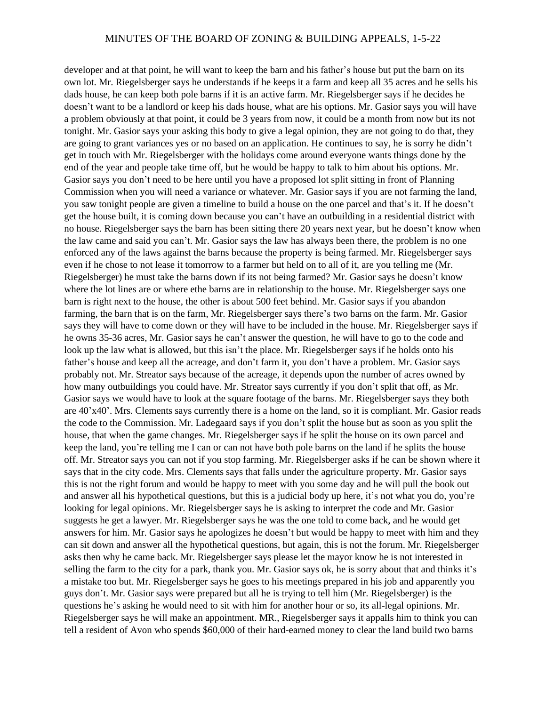developer and at that point, he will want to keep the barn and his father's house but put the barn on its own lot. Mr. Riegelsberger says he understands if he keeps it a farm and keep all 35 acres and he sells his dads house, he can keep both pole barns if it is an active farm. Mr. Riegelsberger says if he decides he doesn't want to be a landlord or keep his dads house, what are his options. Mr. Gasior says you will have a problem obviously at that point, it could be 3 years from now, it could be a month from now but its not tonight. Mr. Gasior says your asking this body to give a legal opinion, they are not going to do that, they are going to grant variances yes or no based on an application. He continues to say, he is sorry he didn't get in touch with Mr. Riegelsberger with the holidays come around everyone wants things done by the end of the year and people take time off, but he would be happy to talk to him about his options. Mr. Gasior says you don't need to be here until you have a proposed lot split sitting in front of Planning Commission when you will need a variance or whatever. Mr. Gasior says if you are not farming the land, you saw tonight people are given a timeline to build a house on the one parcel and that's it. If he doesn't get the house built, it is coming down because you can't have an outbuilding in a residential district with no house. Riegelsberger says the barn has been sitting there 20 years next year, but he doesn't know when the law came and said you can't. Mr. Gasior says the law has always been there, the problem is no one enforced any of the laws against the barns because the property is being farmed. Mr. Riegelsberger says even if he chose to not lease it tomorrow to a farmer but held on to all of it, are you telling me (Mr. Riegelsberger) he must take the barns down if its not being farmed? Mr. Gasior says he doesn't know where the lot lines are or where ethe barns are in relationship to the house. Mr. Riegelsberger says one barn is right next to the house, the other is about 500 feet behind. Mr. Gasior says if you abandon farming, the barn that is on the farm, Mr. Riegelsberger says there's two barns on the farm. Mr. Gasior says they will have to come down or they will have to be included in the house. Mr. Riegelsberger says if he owns 35-36 acres, Mr. Gasior says he can't answer the question, he will have to go to the code and look up the law what is allowed, but this isn't the place. Mr. Riegelsberger says if he holds onto his father's house and keep all the acreage, and don't farm it, you don't have a problem. Mr. Gasior says probably not. Mr. Streator says because of the acreage, it depends upon the number of acres owned by how many outbuildings you could have. Mr. Streator says currently if you don't split that off, as Mr. Gasior says we would have to look at the square footage of the barns. Mr. Riegelsberger says they both are 40'x40'. Mrs. Clements says currently there is a home on the land, so it is compliant. Mr. Gasior reads the code to the Commission. Mr. Ladegaard says if you don't split the house but as soon as you split the house, that when the game changes. Mr. Riegelsberger says if he split the house on its own parcel and keep the land, you're telling me I can or can not have both pole barns on the land if he splits the house off. Mr. Streator says you can not if you stop farming. Mr. Riegelsberger asks if he can be shown where it says that in the city code. Mrs. Clements says that falls under the agriculture property. Mr. Gasior says this is not the right forum and would be happy to meet with you some day and he will pull the book out and answer all his hypothetical questions, but this is a judicial body up here, it's not what you do, you're looking for legal opinions. Mr. Riegelsberger says he is asking to interpret the code and Mr. Gasior suggests he get a lawyer. Mr. Riegelsberger says he was the one told to come back, and he would get answers for him. Mr. Gasior says he apologizes he doesn't but would be happy to meet with him and they can sit down and answer all the hypothetical questions, but again, this is not the forum. Mr. Riegelsberger asks then why he came back. Mr. Riegelsberger says please let the mayor know he is not interested in selling the farm to the city for a park, thank you. Mr. Gasior says ok, he is sorry about that and thinks it's a mistake too but. Mr. Riegelsberger says he goes to his meetings prepared in his job and apparently you guys don't. Mr. Gasior says were prepared but all he is trying to tell him (Mr. Riegelsberger) is the questions he's asking he would need to sit with him for another hour or so, its all-legal opinions. Mr. Riegelsberger says he will make an appointment. MR., Riegelsberger says it appalls him to think you can tell a resident of Avon who spends \$60,000 of their hard-earned money to clear the land build two barns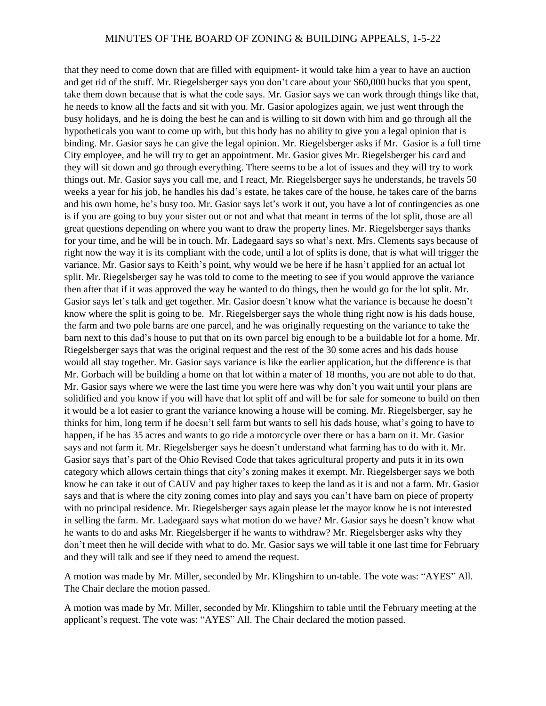that they need to come down that are filled with equipment- it would take him a year to have an auction and get rid of the stuff. Mr. Riegelsberger says you don't care about your \$60,000 bucks that you spent, take them down because that is what the code says. Mr. Gasior says we can work through things like that, he needs to know all the facts and sit with you. Mr. Gasior apologizes again, we just went through the busy holidays, and he is doing the best he can and is willing to sit down with him and go through all the hypotheticals you want to come up with, but this body has no ability to give you a legal opinion that is binding. Mr. Gasior says he can give the legal opinion. Mr. Riegelsberger asks if Mr. Gasior is a full time City employee, and he will try to get an appointment. Mr. Gasior gives Mr. Riegelsberger his card and they will sit down and go through everything. There seems to be a lot of issues and they will try to work things out. Mr. Gasior says you call me, and I react, Mr. Riegelsberger says he understands, he travels 50 weeks a year for his job, he handles his dad's estate, he takes care of the house, he takes care of the barns and his own home, he's busy too. Mr. Gasior says let's work it out, you have a lot of contingencies as one is if you are going to buy your sister out or not and what that meant in terms of the lot split, those are all great questions depending on where you want to draw the property lines. Mr. Riegelsberger says thanks for your time, and he will be in touch. Mr. Ladegaard says so what's next. Mrs. Clements says because of right now the way it is its compliant with the code, until a lot of splits is done, that is what will trigger the variance. Mr. Gasior says to Keith's point, why would we be here if he hasn't applied for an actual lot split. Mr. Riegelsberger say he was told to come to the meeting to see if you would approve the variance then after that if it was approved the way he wanted to do things, then he would go for the lot split. Mr. Gasior says let's talk and get together. Mr. Gasior doesn't know what the variance is because he doesn't know where the split is going to be. Mr. Riegelsberger says the whole thing right now is his dads house, the farm and two pole barns are one parcel, and he was originally requesting on the variance to take the barn next to this dad's house to put that on its own parcel big enough to be a buildable lot for a home. Mr. Riegelsberger says that was the original request and the rest of the 30 some acres and his dads house would all stay together. Mr. Gasior says variance is like the earlier application, but the difference is that Mr. Gorbach will be building a home on that lot within a mater of 18 months, you are not able to do that. Mr. Gasior says where we were the last time you were here was why don't you wait until your plans are solidified and you know if you will have that lot split off and will be for sale for someone to build on then it would be a lot easier to grant the variance knowing a house will be coming. Mr. Riegelsberger, say he thinks for him, long term if he doesn't sell farm but wants to sell his dads house, what's going to have to happen, if he has 35 acres and wants to go ride a motorcycle over there or has a barn on it. Mr. Gasior says and not farm it. Mr. Riegelsberger says he doesn't understand what farming has to do with it. Mr. Gasior says that's part of the Ohio Revised Code that takes agricultural property and puts it in its own category which allows certain things that city's zoning makes it exempt. Mr. Riegelsberger says we both know he can take it out of CAUV and pay higher taxes to keep the land as it is and not a farm. Mr. Gasior says and that is where the city zoning comes into play and says you can't have barn on piece of property with no principal residence. Mr. Riegelsberger says again please let the mayor know he is not interested in selling the farm. Mr. Ladegaard says what motion do we have? Mr. Gasior says he doesn't know what he wants to do and asks Mr. Riegelsberger if he wants to withdraw? Mr. Riegelsberger asks why they don't meet then he will decide with what to do. Mr. Gasior says we will table it one last time for February and they will talk and see if they need to amend the request.

A motion was made by Mr. Miller, seconded by Mr. Klingshirn to un-table. The vote was: "AYES" All. The Chair declare the motion passed.

A motion was made by Mr. Miller, seconded by Mr. Klingshirn to table until the February meeting at the applicant's request. The vote was: "AYES" All. The Chair declared the motion passed.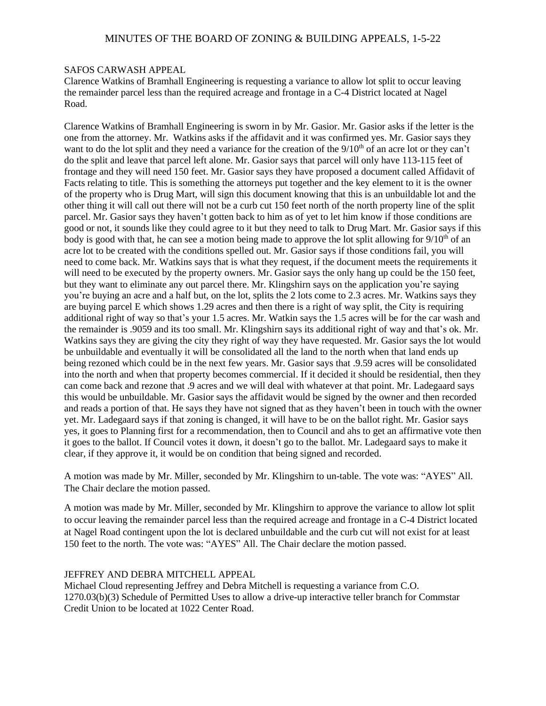### SAFOS CARWASH APPEAL

Clarence Watkins of Bramhall Engineering is requesting a variance to allow lot split to occur leaving the remainder parcel less than the required acreage and frontage in a C-4 District located at Nagel Road.

Clarence Watkins of Bramhall Engineering is sworn in by Mr. Gasior. Mr. Gasior asks if the letter is the one from the attorney. Mr. Watkins asks if the affidavit and it was confirmed yes. Mr. Gasior says they want to do the lot split and they need a variance for the creation of the 9/10<sup>th</sup> of an acre lot or they can't do the split and leave that parcel left alone. Mr. Gasior says that parcel will only have 113-115 feet of frontage and they will need 150 feet. Mr. Gasior says they have proposed a document called Affidavit of Facts relating to title. This is something the attorneys put together and the key element to it is the owner of the property who is Drug Mart, will sign this document knowing that this is an unbuildable lot and the other thing it will call out there will not be a curb cut 150 feet north of the north property line of the split parcel. Mr. Gasior says they haven't gotten back to him as of yet to let him know if those conditions are good or not, it sounds like they could agree to it but they need to talk to Drug Mart. Mr. Gasior says if this body is good with that, he can see a motion being made to approve the lot split allowing for  $9/10<sup>th</sup>$  of an acre lot to be created with the conditions spelled out. Mr. Gasior says if those conditions fail, you will need to come back. Mr. Watkins says that is what they request, if the document meets the requirements it will need to be executed by the property owners. Mr. Gasior says the only hang up could be the 150 feet, but they want to eliminate any out parcel there. Mr. Klingshirn says on the application you're saying you're buying an acre and a half but, on the lot, splits the 2 lots come to 2.3 acres. Mr. Watkins says they are buying parcel E which shows 1.29 acres and then there is a right of way split, the City is requiring additional right of way so that's your 1.5 acres. Mr. Watkin says the 1.5 acres will be for the car wash and the remainder is .9059 and its too small. Mr. Klingshirn says its additional right of way and that's ok. Mr. Watkins says they are giving the city they right of way they have requested. Mr. Gasior says the lot would be unbuildable and eventually it will be consolidated all the land to the north when that land ends up being rezoned which could be in the next few years. Mr. Gasior says that .9.59 acres will be consolidated into the north and when that property becomes commercial. If it decided it should be residential, then they can come back and rezone that .9 acres and we will deal with whatever at that point. Mr. Ladegaard says this would be unbuildable. Mr. Gasior says the affidavit would be signed by the owner and then recorded and reads a portion of that. He says they have not signed that as they haven't been in touch with the owner yet. Mr. Ladegaard says if that zoning is changed, it will have to be on the ballot right. Mr. Gasior says yes, it goes to Planning first for a recommendation, then to Council and ahs to get an affirmative vote then it goes to the ballot. If Council votes it down, it doesn't go to the ballot. Mr. Ladegaard says to make it clear, if they approve it, it would be on condition that being signed and recorded.

A motion was made by Mr. Miller, seconded by Mr. Klingshirn to un-table. The vote was: "AYES" All. The Chair declare the motion passed.

A motion was made by Mr. Miller, seconded by Mr. Klingshirn to approve the variance to allow lot split to occur leaving the remainder parcel less than the required acreage and frontage in a C-4 District located at Nagel Road contingent upon the lot is declared unbuildable and the curb cut will not exist for at least 150 feet to the north. The vote was: "AYES" All. The Chair declare the motion passed.

### JEFFREY AND DEBRA MITCHELL APPEAL

Michael Cloud representing Jeffrey and Debra Mitchell is requesting a variance from C.O. 1270.03(b)(3) Schedule of Permitted Uses to allow a drive-up interactive teller branch for Commstar Credit Union to be located at 1022 Center Road.